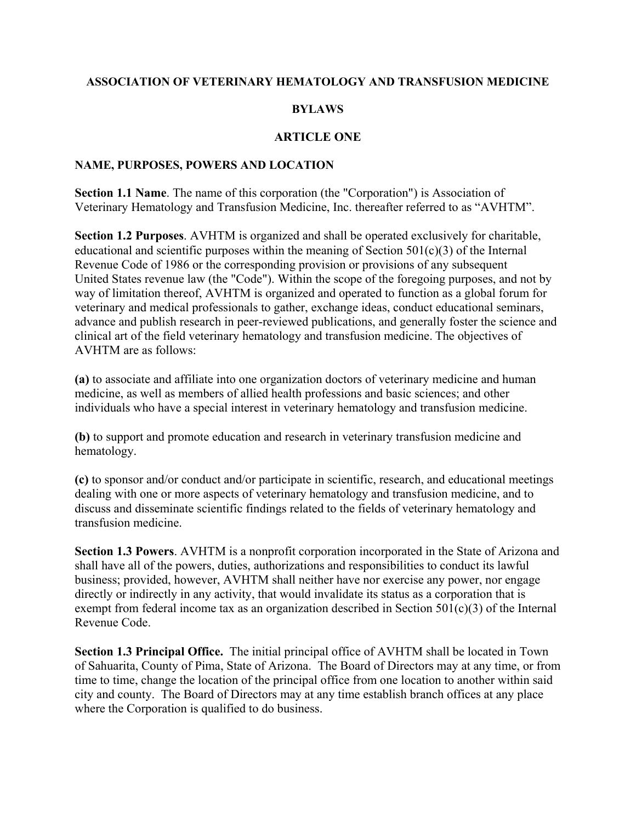#### **ASSOCIATION OF VETERINARY HEMATOLOGY AND TRANSFUSION MEDICINE**

#### **BYLAWS**

#### **ARTICLE ONE**

#### **NAME, PURPOSES, POWERS AND LOCATION**

**Section 1.1 Name**. The name of this corporation (the "Corporation") is Association of Veterinary Hematology and Transfusion Medicine, Inc. thereafter referred to as "AVHTM".

**Section 1.2 Purposes**. AVHTM is organized and shall be operated exclusively for charitable, educational and scientific purposes within the meaning of Section 501(c)(3) of the Internal Revenue Code of 1986 or the corresponding provision or provisions of any subsequent United States revenue law (the "Code"). Within the scope of the foregoing purposes, and not by way of limitation thereof, AVHTM is organized and operated to function as a global forum for veterinary and medical professionals to gather, exchange ideas, conduct educational seminars, advance and publish research in peer-reviewed publications, and generally foster the science and clinical art of the field veterinary hematology and transfusion medicine. The objectives of AVHTM are as follows:

**(a)** to associate and affiliate into one organization doctors of veterinary medicine and human medicine, as well as members of allied health professions and basic sciences; and other individuals who have a special interest in veterinary hematology and transfusion medicine.

**(b)** to support and promote education and research in veterinary transfusion medicine and hematology.

**(c)** to sponsor and/or conduct and/or participate in scientific, research, and educational meetings dealing with one or more aspects of veterinary hematology and transfusion medicine, and to discuss and disseminate scientific findings related to the fields of veterinary hematology and transfusion medicine.

**Section 1.3 Powers**. AVHTM is a nonprofit corporation incorporated in the State of Arizona and shall have all of the powers, duties, authorizations and responsibilities to conduct its lawful business; provided, however, AVHTM shall neither have nor exercise any power, nor engage directly or indirectly in any activity, that would invalidate its status as a corporation that is exempt from federal income tax as an organization described in Section 501(c)(3) of the Internal Revenue Code.

**Section 1.3 Principal Office.** The initial principal office of AVHTM shall be located in Town of Sahuarita, County of Pima, State of Arizona. The Board of Directors may at any time, or from time to time, change the location of the principal office from one location to another within said city and county. The Board of Directors may at any time establish branch offices at any place where the Corporation is qualified to do business.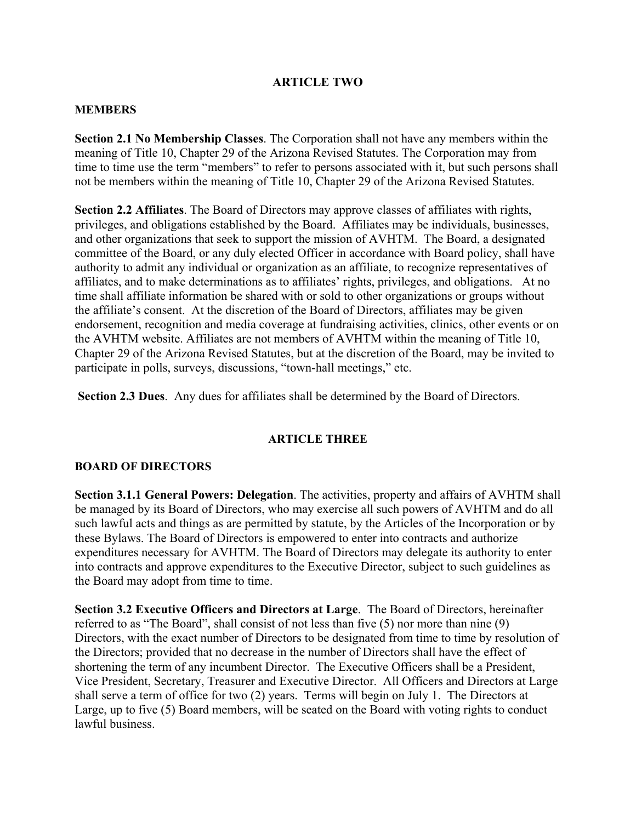#### **ARTICLE TWO**

#### **MEMBERS**

**Section 2.1 No Membership Classes**. The Corporation shall not have any members within the meaning of Title 10, Chapter 29 of the Arizona Revised Statutes. The Corporation may from time to time use the term "members" to refer to persons associated with it, but such persons shall not be members within the meaning of Title 10, Chapter 29 of the Arizona Revised Statutes.

**Section 2.2 Affiliates**. The Board of Directors may approve classes of affiliates with rights, privileges, and obligations established by the Board. Affiliates may be individuals, businesses, and other organizations that seek to support the mission of AVHTM. The Board, a designated committee of the Board, or any duly elected Officer in accordance with Board policy, shall have authority to admit any individual or organization as an affiliate, to recognize representatives of affiliates, and to make determinations as to affiliates' rights, privileges, and obligations. At no time shall affiliate information be shared with or sold to other organizations or groups without the affiliate's consent. At the discretion of the Board of Directors, affiliates may be given endorsement, recognition and media coverage at fundraising activities, clinics, other events or on the AVHTM website. Affiliates are not members of AVHTM within the meaning of Title 10, Chapter 29 of the Arizona Revised Statutes, but at the discretion of the Board, may be invited to participate in polls, surveys, discussions, "town-hall meetings," etc.

**Section 2.3 Dues**.Any dues for affiliates shall be determined by the Board of Directors.

#### **ARTICLE THREE**

#### **BOARD OF DIRECTORS**

**Section 3.1.1 General Powers: Delegation**. The activities, property and affairs of AVHTM shall be managed by its Board of Directors, who may exercise all such powers of AVHTM and do all such lawful acts and things as are permitted by statute, by the Articles of the Incorporation or by these Bylaws. The Board of Directors is empowered to enter into contracts and authorize expenditures necessary for AVHTM. The Board of Directors may delegate its authority to enter into contracts and approve expenditures to the Executive Director, subject to such guidelines as the Board may adopt from time to time.

**Section 3.2 Executive Officers and Directors at Large**. The Board of Directors, hereinafter referred to as "The Board", shall consist of not less than five (5) nor more than nine (9) Directors, with the exact number of Directors to be designated from time to time by resolution of the Directors; provided that no decrease in the number of Directors shall have the effect of shortening the term of any incumbent Director. The Executive Officers shall be a President, Vice President, Secretary, Treasurer and Executive Director. All Officers and Directors at Large shall serve a term of office for two (2) years. Terms will begin on July 1. The Directors at Large, up to five (5) Board members, will be seated on the Board with voting rights to conduct lawful business.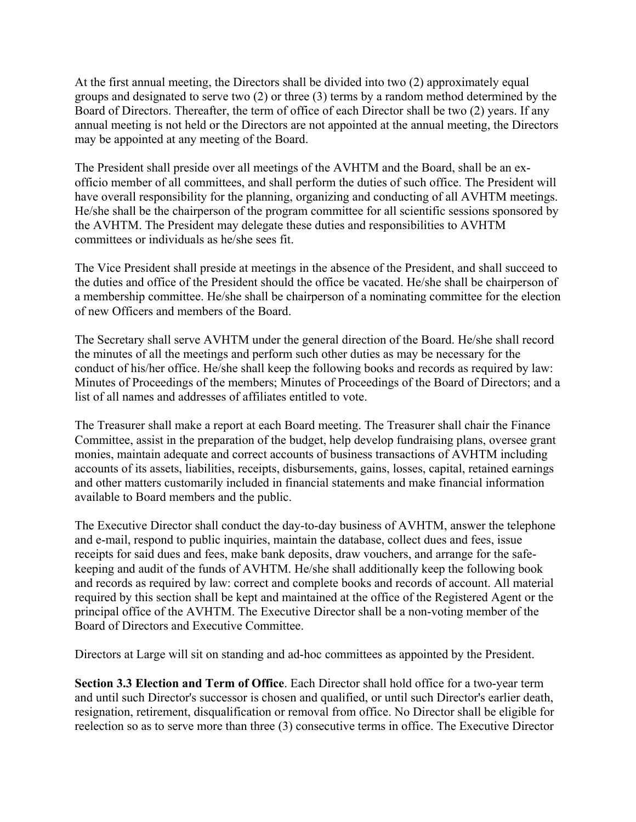At the first annual meeting, the Directors shall be divided into two (2) approximately equal groups and designated to serve two (2) or three (3) terms by a random method determined by the Board of Directors. Thereafter, the term of office of each Director shall be two (2) years. If any annual meeting is not held or the Directors are not appointed at the annual meeting, the Directors may be appointed at any meeting of the Board.

The President shall preside over all meetings of the AVHTM and the Board, shall be an exofficio member of all committees, and shall perform the duties of such office. The President will have overall responsibility for the planning, organizing and conducting of all AVHTM meetings. He/she shall be the chairperson of the program committee for all scientific sessions sponsored by the AVHTM. The President may delegate these duties and responsibilities to AVHTM committees or individuals as he/she sees fit.

The Vice President shall preside at meetings in the absence of the President, and shall succeed to the duties and office of the President should the office be vacated. He/she shall be chairperson of a membership committee. He/she shall be chairperson of a nominating committee for the election of new Officers and members of the Board.

The Secretary shall serve AVHTM under the general direction of the Board. He/she shall record the minutes of all the meetings and perform such other duties as may be necessary for the conduct of his/her office. He/she shall keep the following books and records as required by law: Minutes of Proceedings of the members; Minutes of Proceedings of the Board of Directors; and a list of all names and addresses of affiliates entitled to vote.

The Treasurer shall make a report at each Board meeting. The Treasurer shall chair the Finance Committee, assist in the preparation of the budget, help develop fundraising plans, oversee grant monies, maintain adequate and correct accounts of business transactions of AVHTM including accounts of its assets, liabilities, receipts, disbursements, gains, losses, capital, retained earnings and other matters customarily included in financial statements and make financial information available to Board members and the public.

The Executive Director shall conduct the day-to-day business of AVHTM, answer the telephone and e-mail, respond to public inquiries, maintain the database, collect dues and fees, issue receipts for said dues and fees, make bank deposits, draw vouchers, and arrange for the safekeeping and audit of the funds of AVHTM. He/she shall additionally keep the following book and records as required by law: correct and complete books and records of account. All material required by this section shall be kept and maintained at the office of the Registered Agent or the principal office of the AVHTM. The Executive Director shall be a non-voting member of the Board of Directors and Executive Committee.

Directors at Large will sit on standing and ad-hoc committees as appointed by the President.

**Section 3.3 Election and Term of Office**. Each Director shall hold office for a two-year term and until such Director's successor is chosen and qualified, or until such Director's earlier death, resignation, retirement, disqualification or removal from office. No Director shall be eligible for reelection so as to serve more than three (3) consecutive terms in office. The Executive Director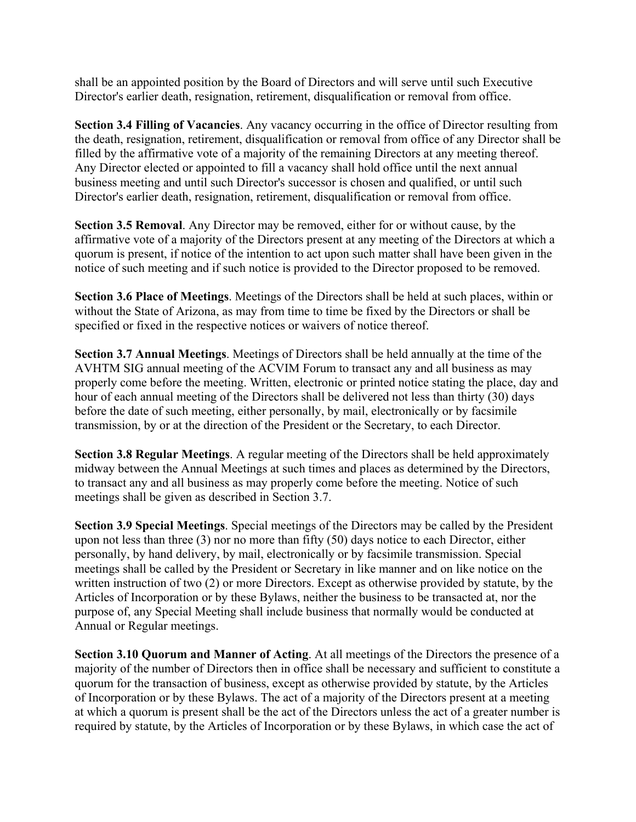shall be an appointed position by the Board of Directors and will serve until such Executive Director's earlier death, resignation, retirement, disqualification or removal from office.

**Section 3.4 Filling of Vacancies**. Any vacancy occurring in the office of Director resulting from the death, resignation, retirement, disqualification or removal from office of any Director shall be filled by the affirmative vote of a majority of the remaining Directors at any meeting thereof. Any Director elected or appointed to fill a vacancy shall hold office until the next annual business meeting and until such Director's successor is chosen and qualified, or until such Director's earlier death, resignation, retirement, disqualification or removal from office.

**Section 3.5 Removal**. Any Director may be removed, either for or without cause, by the affirmative vote of a majority of the Directors present at any meeting of the Directors at which a quorum is present, if notice of the intention to act upon such matter shall have been given in the notice of such meeting and if such notice is provided to the Director proposed to be removed.

**Section 3.6 Place of Meetings**. Meetings of the Directors shall be held at such places, within or without the State of Arizona, as may from time to time be fixed by the Directors or shall be specified or fixed in the respective notices or waivers of notice thereof.

**Section 3.7 Annual Meetings**. Meetings of Directors shall be held annually at the time of the AVHTM SIG annual meeting of the ACVIM Forum to transact any and all business as may properly come before the meeting. Written, electronic or printed notice stating the place, day and hour of each annual meeting of the Directors shall be delivered not less than thirty (30) days before the date of such meeting, either personally, by mail, electronically or by facsimile transmission, by or at the direction of the President or the Secretary, to each Director.

**Section 3.8 Regular Meetings**. A regular meeting of the Directors shall be held approximately midway between the Annual Meetings at such times and places as determined by the Directors, to transact any and all business as may properly come before the meeting. Notice of such meetings shall be given as described in Section 3.7.

**Section 3.9 Special Meetings**. Special meetings of the Directors may be called by the President upon not less than three (3) nor no more than fifty (50) days notice to each Director, either personally, by hand delivery, by mail, electronically or by facsimile transmission. Special meetings shall be called by the President or Secretary in like manner and on like notice on the written instruction of two (2) or more Directors. Except as otherwise provided by statute, by the Articles of Incorporation or by these Bylaws, neither the business to be transacted at, nor the purpose of, any Special Meeting shall include business that normally would be conducted at Annual or Regular meetings.

**Section 3.10 Quorum and Manner of Acting**. At all meetings of the Directors the presence of a majority of the number of Directors then in office shall be necessary and sufficient to constitute a quorum for the transaction of business, except as otherwise provided by statute, by the Articles of Incorporation or by these Bylaws. The act of a majority of the Directors present at a meeting at which a quorum is present shall be the act of the Directors unless the act of a greater number is required by statute, by the Articles of Incorporation or by these Bylaws, in which case the act of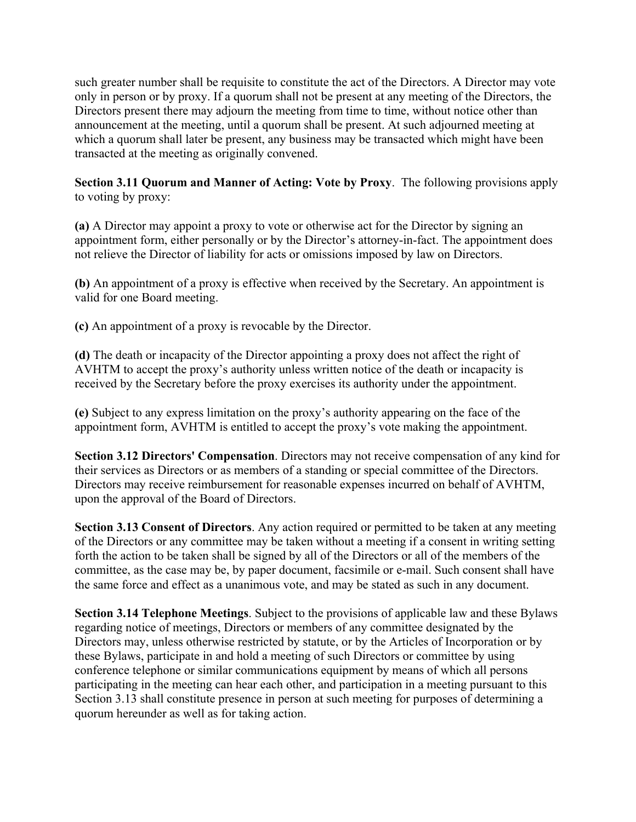such greater number shall be requisite to constitute the act of the Directors. A Director may vote only in person or by proxy. If a quorum shall not be present at any meeting of the Directors, the Directors present there may adjourn the meeting from time to time, without notice other than announcement at the meeting, until a quorum shall be present. At such adjourned meeting at which a quorum shall later be present, any business may be transacted which might have been transacted at the meeting as originally convened.

**Section 3.11 Quorum and Manner of Acting: Vote by Proxy**. The following provisions apply to voting by proxy:

**(a)** A Director may appoint a proxy to vote or otherwise act for the Director by signing an appointment form, either personally or by the Director's attorney-in-fact. The appointment does not relieve the Director of liability for acts or omissions imposed by law on Directors.

**(b)** An appointment of a proxy is effective when received by the Secretary. An appointment is valid for one Board meeting.

**(c)** An appointment of a proxy is revocable by the Director.

**(d)** The death or incapacity of the Director appointing a proxy does not affect the right of AVHTM to accept the proxy's authority unless written notice of the death or incapacity is received by the Secretary before the proxy exercises its authority under the appointment.

**(e)** Subject to any express limitation on the proxy's authority appearing on the face of the appointment form, AVHTM is entitled to accept the proxy's vote making the appointment.

**Section 3.12 Directors' Compensation**. Directors may not receive compensation of any kind for their services as Directors or as members of a standing or special committee of the Directors. Directors may receive reimbursement for reasonable expenses incurred on behalf of AVHTM, upon the approval of the Board of Directors.

**Section 3.13 Consent of Directors**. Any action required or permitted to be taken at any meeting of the Directors or any committee may be taken without a meeting if a consent in writing setting forth the action to be taken shall be signed by all of the Directors or all of the members of the committee, as the case may be, by paper document, facsimile or e-mail. Such consent shall have the same force and effect as a unanimous vote, and may be stated as such in any document.

**Section 3.14 Telephone Meetings**. Subject to the provisions of applicable law and these Bylaws regarding notice of meetings, Directors or members of any committee designated by the Directors may, unless otherwise restricted by statute, or by the Articles of Incorporation or by these Bylaws, participate in and hold a meeting of such Directors or committee by using conference telephone or similar communications equipment by means of which all persons participating in the meeting can hear each other, and participation in a meeting pursuant to this Section 3.13 shall constitute presence in person at such meeting for purposes of determining a quorum hereunder as well as for taking action.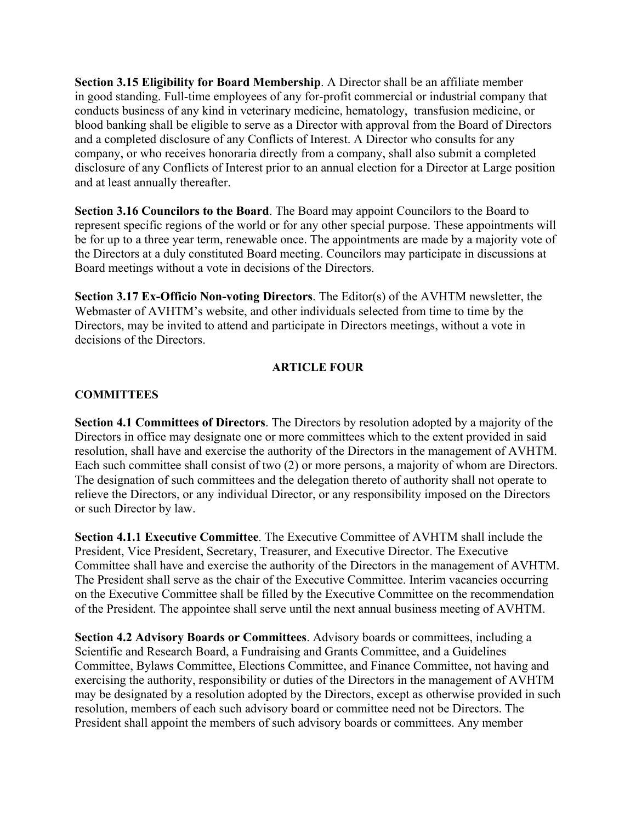**Section 3.15 Eligibility for Board Membership**. A Director shall be an affiliate member in good standing. Full-time employees of any for-profit commercial or industrial company that conducts business of any kind in veterinary medicine, hematology, transfusion medicine, or blood banking shall be eligible to serve as a Director with approval from the Board of Directors and a completed disclosure of any Conflicts of Interest. A Director who consults for any company, or who receives honoraria directly from a company, shall also submit a completed disclosure of any Conflicts of Interest prior to an annual election for a Director at Large position and at least annually thereafter.

**Section 3.16 Councilors to the Board**. The Board may appoint Councilors to the Board to represent specific regions of the world or for any other special purpose. These appointments will be for up to a three year term, renewable once. The appointments are made by a majority vote of the Directors at a duly constituted Board meeting. Councilors may participate in discussions at Board meetings without a vote in decisions of the Directors.

**Section 3.17 Ex-Officio Non-voting Directors**. The Editor(s) of the AVHTM newsletter, the Webmaster of AVHTM's website, and other individuals selected from time to time by the Directors, may be invited to attend and participate in Directors meetings, without a vote in decisions of the Directors.

### **ARTICLE FOUR**

### **COMMITTEES**

**Section 4.1 Committees of Directors**. The Directors by resolution adopted by a majority of the Directors in office may designate one or more committees which to the extent provided in said resolution, shall have and exercise the authority of the Directors in the management of AVHTM. Each such committee shall consist of two (2) or more persons, a majority of whom are Directors. The designation of such committees and the delegation thereto of authority shall not operate to relieve the Directors, or any individual Director, or any responsibility imposed on the Directors or such Director by law.

**Section 4.1.1 Executive Committee**. The Executive Committee of AVHTM shall include the President, Vice President, Secretary, Treasurer, and Executive Director. The Executive Committee shall have and exercise the authority of the Directors in the management of AVHTM. The President shall serve as the chair of the Executive Committee. Interim vacancies occurring on the Executive Committee shall be filled by the Executive Committee on the recommendation of the President. The appointee shall serve until the next annual business meeting of AVHTM.

**Section 4.2 Advisory Boards or Committees**. Advisory boards or committees, including a Scientific and Research Board, a Fundraising and Grants Committee, and a Guidelines Committee, Bylaws Committee, Elections Committee, and Finance Committee, not having and exercising the authority, responsibility or duties of the Directors in the management of AVHTM may be designated by a resolution adopted by the Directors, except as otherwise provided in such resolution, members of each such advisory board or committee need not be Directors. The President shall appoint the members of such advisory boards or committees. Any member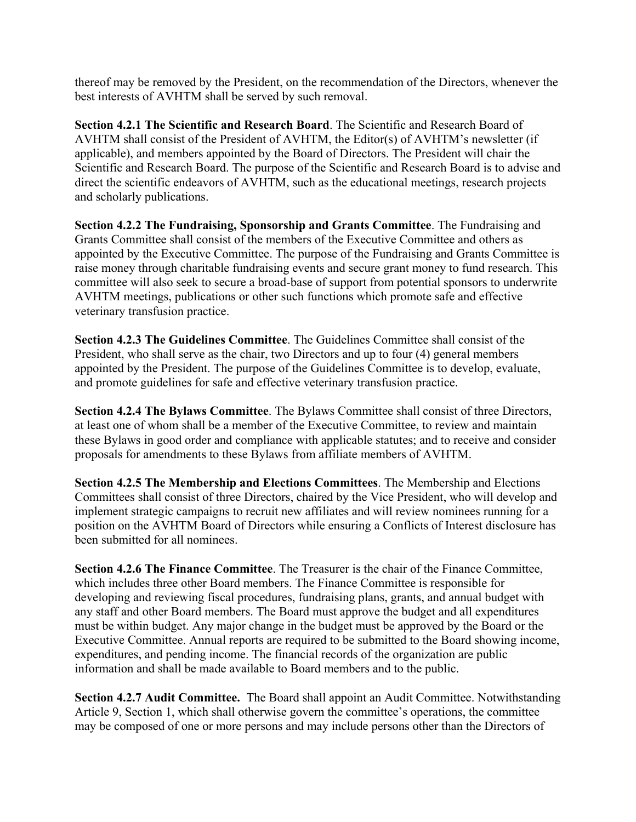thereof may be removed by the President, on the recommendation of the Directors, whenever the best interests of AVHTM shall be served by such removal.

**Section 4.2.1 The Scientific and Research Board**. The Scientific and Research Board of AVHTM shall consist of the President of AVHTM, the Editor(s) of AVHTM's newsletter (if applicable), and members appointed by the Board of Directors. The President will chair the Scientific and Research Board. The purpose of the Scientific and Research Board is to advise and direct the scientific endeavors of AVHTM, such as the educational meetings, research projects and scholarly publications.

**Section 4.2.2 The Fundraising, Sponsorship and Grants Committee**. The Fundraising and Grants Committee shall consist of the members of the Executive Committee and others as appointed by the Executive Committee. The purpose of the Fundraising and Grants Committee is raise money through charitable fundraising events and secure grant money to fund research. This committee will also seek to secure a broad-base of support from potential sponsors to underwrite AVHTM meetings, publications or other such functions which promote safe and effective veterinary transfusion practice.

**Section 4.2.3 The Guidelines Committee**. The Guidelines Committee shall consist of the President, who shall serve as the chair, two Directors and up to four (4) general members appointed by the President. The purpose of the Guidelines Committee is to develop, evaluate, and promote guidelines for safe and effective veterinary transfusion practice.

**Section 4.2.4 The Bylaws Committee**. The Bylaws Committee shall consist of three Directors, at least one of whom shall be a member of the Executive Committee, to review and maintain these Bylaws in good order and compliance with applicable statutes; and to receive and consider proposals for amendments to these Bylaws from affiliate members of AVHTM.

**Section 4.2.5 The Membership and Elections Committees**. The Membership and Elections Committees shall consist of three Directors, chaired by the Vice President, who will develop and implement strategic campaigns to recruit new affiliates and will review nominees running for a position on the AVHTM Board of Directors while ensuring a Conflicts of Interest disclosure has been submitted for all nominees.

**Section 4.2.6 The Finance Committee**. The Treasurer is the chair of the Finance Committee, which includes three other Board members. The Finance Committee is responsible for developing and reviewing fiscal procedures, fundraising plans, grants, and annual budget with any staff and other Board members. The Board must approve the budget and all expenditures must be within budget. Any major change in the budget must be approved by the Board or the Executive Committee. Annual reports are required to be submitted to the Board showing income, expenditures, and pending income. The financial records of the organization are public information and shall be made available to Board members and to the public.

**Section 4.2.7 Audit Committee.** The Board shall appoint an Audit Committee. Notwithstanding Article 9, Section 1, which shall otherwise govern the committee's operations, the committee may be composed of one or more persons and may include persons other than the Directors of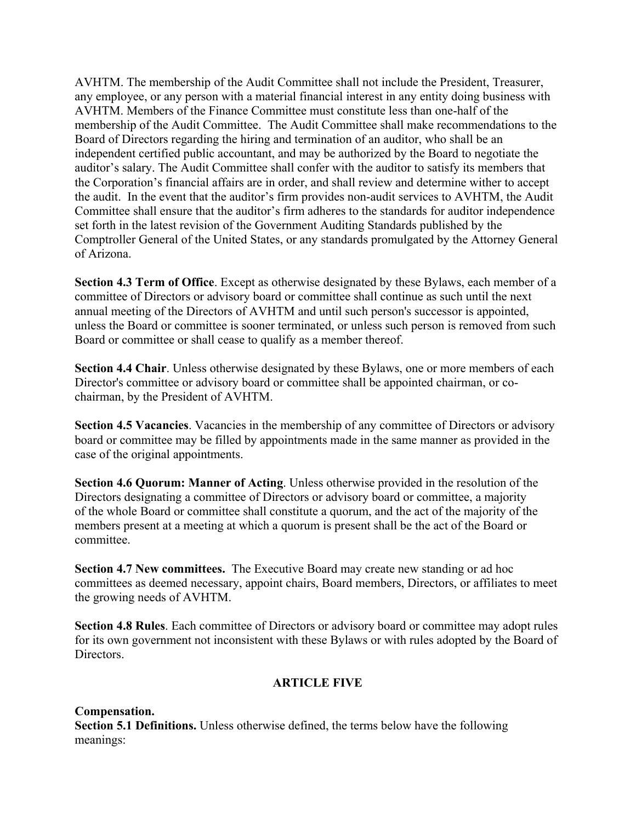AVHTM. The membership of the Audit Committee shall not include the President, Treasurer, any employee, or any person with a material financial interest in any entity doing business with AVHTM. Members of the Finance Committee must constitute less than one-half of the membership of the Audit Committee. The Audit Committee shall make recommendations to the Board of Directors regarding the hiring and termination of an auditor, who shall be an independent certified public accountant, and may be authorized by the Board to negotiate the auditor's salary. The Audit Committee shall confer with the auditor to satisfy its members that the Corporation's financial affairs are in order, and shall review and determine wither to accept the audit. In the event that the auditor's firm provides non-audit services to AVHTM, the Audit Committee shall ensure that the auditor's firm adheres to the standards for auditor independence set forth in the latest revision of the Government Auditing Standards published by the Comptroller General of the United States, or any standards promulgated by the Attorney General of Arizona.

**Section 4.3 Term of Office**. Except as otherwise designated by these Bylaws, each member of a committee of Directors or advisory board or committee shall continue as such until the next annual meeting of the Directors of AVHTM and until such person's successor is appointed, unless the Board or committee is sooner terminated, or unless such person is removed from such Board or committee or shall cease to qualify as a member thereof.

**Section 4.4 Chair**. Unless otherwise designated by these Bylaws, one or more members of each Director's committee or advisory board or committee shall be appointed chairman, or cochairman, by the President of AVHTM.

**Section 4.5 Vacancies**. Vacancies in the membership of any committee of Directors or advisory board or committee may be filled by appointments made in the same manner as provided in the case of the original appointments.

**Section 4.6 Quorum: Manner of Acting**. Unless otherwise provided in the resolution of the Directors designating a committee of Directors or advisory board or committee, a majority of the whole Board or committee shall constitute a quorum, and the act of the majority of the members present at a meeting at which a quorum is present shall be the act of the Board or committee.

**Section 4.7 New committees.** The Executive Board may create new standing or ad hoc committees as deemed necessary, appoint chairs, Board members, Directors, or affiliates to meet the growing needs of AVHTM.

**Section 4.8 Rules**. Each committee of Directors or advisory board or committee may adopt rules for its own government not inconsistent with these Bylaws or with rules adopted by the Board of Directors.

## **ARTICLE FIVE**

**Compensation.** 

**Section 5.1 Definitions.** Unless otherwise defined, the terms below have the following meanings: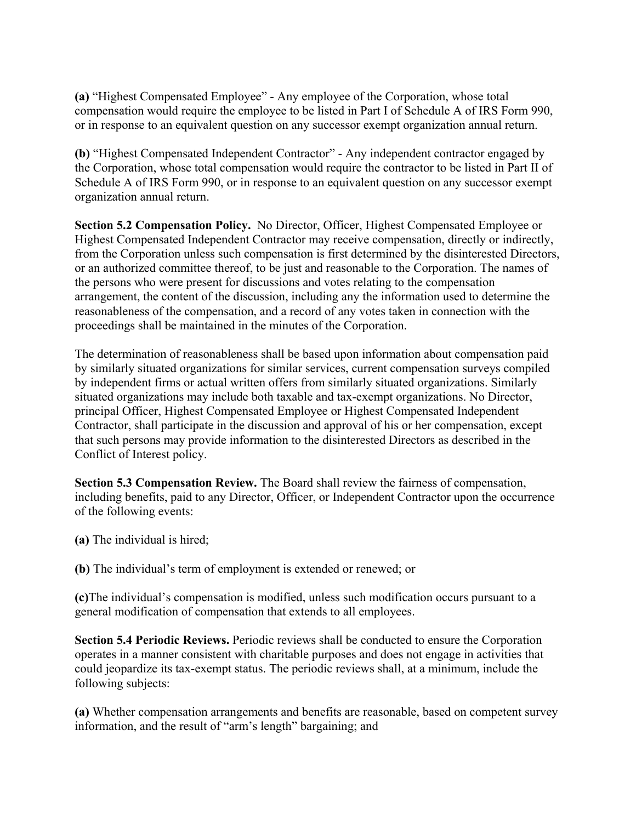**(a)** "Highest Compensated Employee" - Any employee of the Corporation, whose total compensation would require the employee to be listed in Part I of Schedule A of IRS Form 990, or in response to an equivalent question on any successor exempt organization annual return.

**(b)** "Highest Compensated Independent Contractor" - Any independent contractor engaged by the Corporation, whose total compensation would require the contractor to be listed in Part II of Schedule A of IRS Form 990, or in response to an equivalent question on any successor exempt organization annual return.

**Section 5.2 Compensation Policy.** No Director, Officer, Highest Compensated Employee or Highest Compensated Independent Contractor may receive compensation, directly or indirectly, from the Corporation unless such compensation is first determined by the disinterested Directors, or an authorized committee thereof, to be just and reasonable to the Corporation. The names of the persons who were present for discussions and votes relating to the compensation arrangement, the content of the discussion, including any the information used to determine the reasonableness of the compensation, and a record of any votes taken in connection with the proceedings shall be maintained in the minutes of the Corporation.

The determination of reasonableness shall be based upon information about compensation paid by similarly situated organizations for similar services, current compensation surveys compiled by independent firms or actual written offers from similarly situated organizations. Similarly situated organizations may include both taxable and tax-exempt organizations. No Director, principal Officer, Highest Compensated Employee or Highest Compensated Independent Contractor, shall participate in the discussion and approval of his or her compensation, except that such persons may provide information to the disinterested Directors as described in the Conflict of Interest policy.

**Section 5.3 Compensation Review.** The Board shall review the fairness of compensation, including benefits, paid to any Director, Officer, or Independent Contractor upon the occurrence of the following events:

**(a)** The individual is hired;

**(b)** The individual's term of employment is extended or renewed; or

**(c)**The individual's compensation is modified, unless such modification occurs pursuant to a general modification of compensation that extends to all employees.

**Section 5.4 Periodic Reviews.** Periodic reviews shall be conducted to ensure the Corporation operates in a manner consistent with charitable purposes and does not engage in activities that could jeopardize its tax-exempt status. The periodic reviews shall, at a minimum, include the following subjects:

**(a)** Whether compensation arrangements and benefits are reasonable, based on competent survey information, and the result of "arm's length" bargaining; and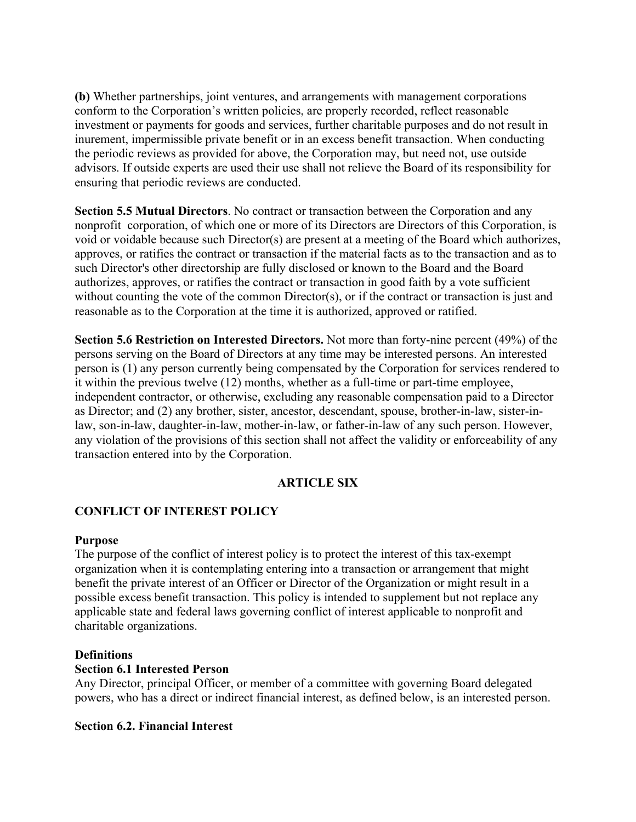**(b)** Whether partnerships, joint ventures, and arrangements with management corporations conform to the Corporation's written policies, are properly recorded, reflect reasonable investment or payments for goods and services, further charitable purposes and do not result in inurement, impermissible private benefit or in an excess benefit transaction. When conducting the periodic reviews as provided for above, the Corporation may, but need not, use outside advisors. If outside experts are used their use shall not relieve the Board of its responsibility for ensuring that periodic reviews are conducted.

**Section 5.5 Mutual Directors**. No contract or transaction between the Corporation and any nonprofit corporation, of which one or more of its Directors are Directors of this Corporation, is void or voidable because such Director(s) are present at a meeting of the Board which authorizes, approves, or ratifies the contract or transaction if the material facts as to the transaction and as to such Director's other directorship are fully disclosed or known to the Board and the Board authorizes, approves, or ratifies the contract or transaction in good faith by a vote sufficient without counting the vote of the common Director(s), or if the contract or transaction is just and reasonable as to the Corporation at the time it is authorized, approved or ratified.

**Section 5.6 Restriction on Interested Directors.** Not more than forty-nine percent (49%) of the persons serving on the Board of Directors at any time may be interested persons. An interested person is (1) any person currently being compensated by the Corporation for services rendered to it within the previous twelve (12) months, whether as a full-time or part-time employee, independent contractor, or otherwise, excluding any reasonable compensation paid to a Director as Director; and (2) any brother, sister, ancestor, descendant, spouse, brother-in-law, sister-inlaw, son-in-law, daughter-in-law, mother-in-law, or father-in-law of any such person. However, any violation of the provisions of this section shall not affect the validity or enforceability of any transaction entered into by the Corporation.

## **ARTICLE SIX**

## **CONFLICT OF INTEREST POLICY**

#### **Purpose**

The purpose of the conflict of interest policy is to protect the interest of this tax-exempt organization when it is contemplating entering into a transaction or arrangement that might benefit the private interest of an Officer or Director of the Organization or might result in a possible excess benefit transaction. This policy is intended to supplement but not replace any applicable state and federal laws governing conflict of interest applicable to nonprofit and charitable organizations.

#### **Definitions**

#### **Section 6.1 Interested Person**

Any Director, principal Officer, or member of a committee with governing Board delegated powers, who has a direct or indirect financial interest, as defined below, is an interested person.

#### **Section 6.2. Financial Interest**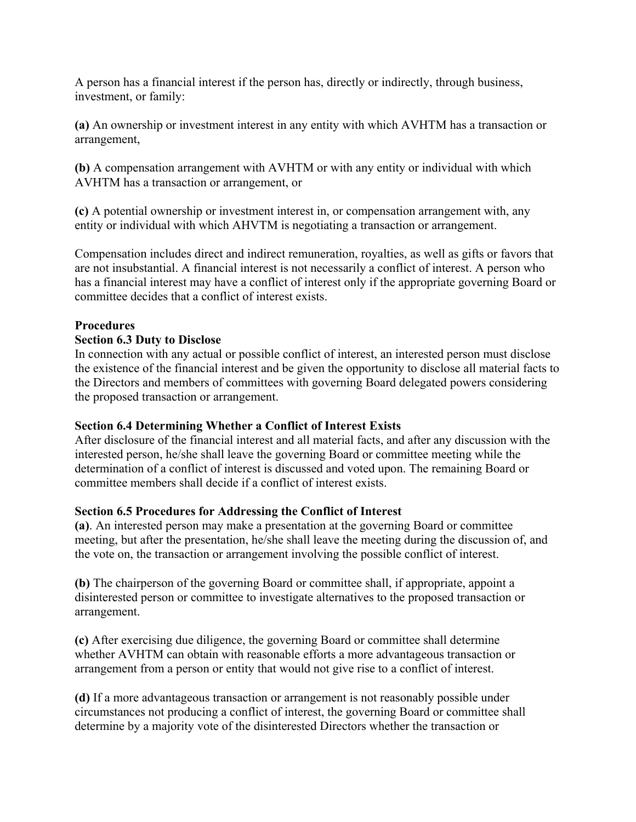A person has a financial interest if the person has, directly or indirectly, through business, investment, or family:

**(a)** An ownership or investment interest in any entity with which AVHTM has a transaction or arrangement,

**(b)** A compensation arrangement with AVHTM or with any entity or individual with which AVHTM has a transaction or arrangement, or

**(c)** A potential ownership or investment interest in, or compensation arrangement with, any entity or individual with which AHVTM is negotiating a transaction or arrangement.

Compensation includes direct and indirect remuneration, royalties, as well as gifts or favors that are not insubstantial. A financial interest is not necessarily a conflict of interest. A person who has a financial interest may have a conflict of interest only if the appropriate governing Board or committee decides that a conflict of interest exists.

## **Procedures**

### **Section 6.3 Duty to Disclose**

In connection with any actual or possible conflict of interest, an interested person must disclose the existence of the financial interest and be given the opportunity to disclose all material facts to the Directors and members of committees with governing Board delegated powers considering the proposed transaction or arrangement.

#### **Section 6.4 Determining Whether a Conflict of Interest Exists**

After disclosure of the financial interest and all material facts, and after any discussion with the interested person, he/she shall leave the governing Board or committee meeting while the determination of a conflict of interest is discussed and voted upon. The remaining Board or committee members shall decide if a conflict of interest exists.

#### **Section 6.5 Procedures for Addressing the Conflict of Interest**

**(a)**. An interested person may make a presentation at the governing Board or committee meeting, but after the presentation, he/she shall leave the meeting during the discussion of, and the vote on, the transaction or arrangement involving the possible conflict of interest.

**(b)** The chairperson of the governing Board or committee shall, if appropriate, appoint a disinterested person or committee to investigate alternatives to the proposed transaction or arrangement.

**(c)** After exercising due diligence, the governing Board or committee shall determine whether AVHTM can obtain with reasonable efforts a more advantageous transaction or arrangement from a person or entity that would not give rise to a conflict of interest.

**(d)** If a more advantageous transaction or arrangement is not reasonably possible under circumstances not producing a conflict of interest, the governing Board or committee shall determine by a majority vote of the disinterested Directors whether the transaction or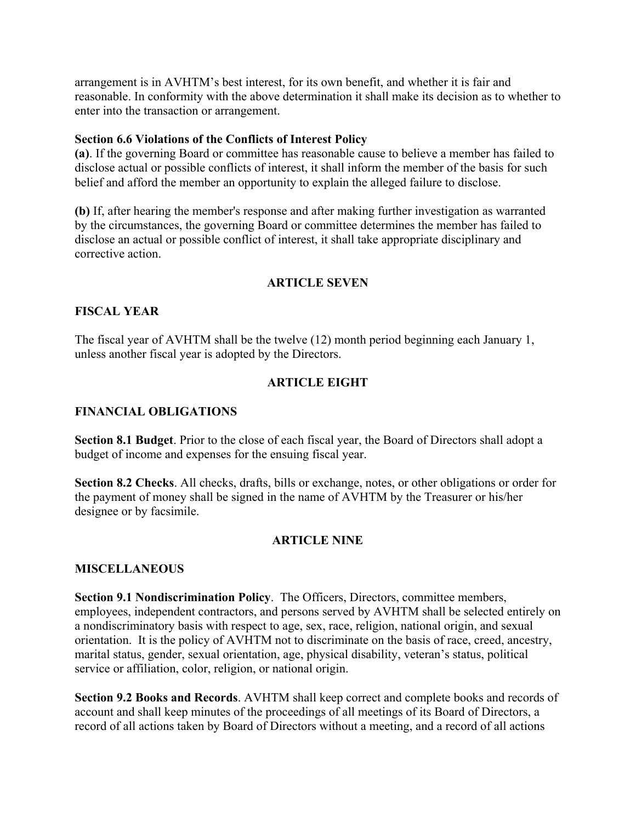arrangement is in AVHTM's best interest, for its own benefit, and whether it is fair and reasonable. In conformity with the above determination it shall make its decision as to whether to enter into the transaction or arrangement.

#### **Section 6.6 Violations of the Conflicts of Interest Policy**

**(a)**. If the governing Board or committee has reasonable cause to believe a member has failed to disclose actual or possible conflicts of interest, it shall inform the member of the basis for such belief and afford the member an opportunity to explain the alleged failure to disclose.

**(b)** If, after hearing the member's response and after making further investigation as warranted by the circumstances, the governing Board or committee determines the member has failed to disclose an actual or possible conflict of interest, it shall take appropriate disciplinary and corrective action.

## **ARTICLE SEVEN**

### **FISCAL YEAR**

The fiscal year of AVHTM shall be the twelve (12) month period beginning each January 1, unless another fiscal year is adopted by the Directors.

## **ARTICLE EIGHT**

### **FINANCIAL OBLIGATIONS**

**Section 8.1 Budget**. Prior to the close of each fiscal year, the Board of Directors shall adopt a budget of income and expenses for the ensuing fiscal year.

**Section 8.2 Checks**. All checks, drafts, bills or exchange, notes, or other obligations or order for the payment of money shall be signed in the name of AVHTM by the Treasurer or his/her designee or by facsimile.

## **ARTICLE NINE**

#### **MISCELLANEOUS**

**Section 9.1 Nondiscrimination Policy**. The Officers, Directors, committee members, employees, independent contractors, and persons served by AVHTM shall be selected entirely on a nondiscriminatory basis with respect to age, sex, race, religion, national origin, and sexual orientation. It is the policy of AVHTM not to discriminate on the basis of race, creed, ancestry, marital status, gender, sexual orientation, age, physical disability, veteran's status, political service or affiliation, color, religion, or national origin.

**Section 9.2 Books and Records**. AVHTM shall keep correct and complete books and records of account and shall keep minutes of the proceedings of all meetings of its Board of Directors, a record of all actions taken by Board of Directors without a meeting, and a record of all actions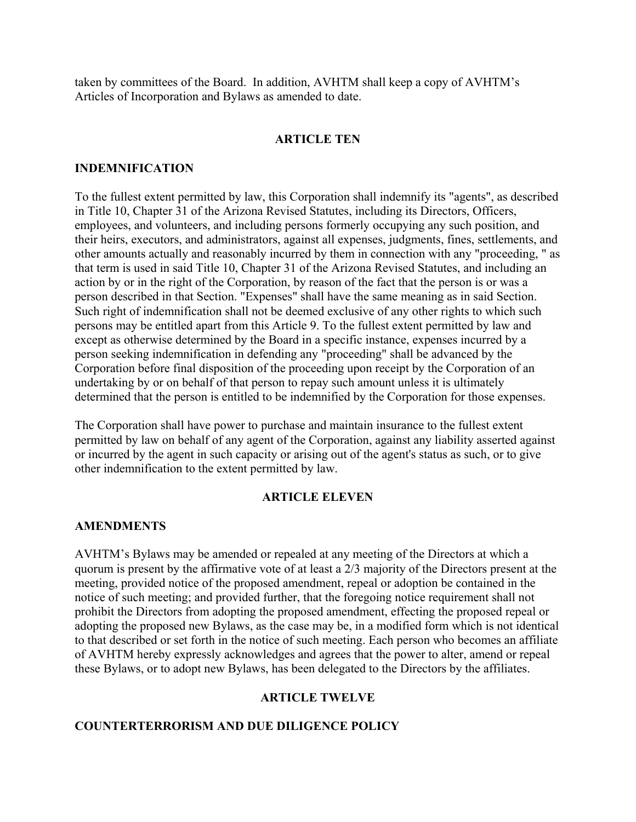taken by committees of the Board. In addition, AVHTM shall keep a copy of AVHTM's Articles of Incorporation and Bylaws as amended to date.

#### **ARTICLE TEN**

#### **INDEMNIFICATION**

To the fullest extent permitted by law, this Corporation shall indemnify its "agents", as described in Title 10, Chapter 31 of the Arizona Revised Statutes, including its Directors, Officers, employees, and volunteers, and including persons formerly occupying any such position, and their heirs, executors, and administrators, against all expenses, judgments, fines, settlements, and other amounts actually and reasonably incurred by them in connection with any "proceeding, " as that term is used in said Title 10, Chapter 31 of the Arizona Revised Statutes, and including an action by or in the right of the Corporation, by reason of the fact that the person is or was a person described in that Section. "Expenses" shall have the same meaning as in said Section. Such right of indemnification shall not be deemed exclusive of any other rights to which such persons may be entitled apart from this Article 9. To the fullest extent permitted by law and except as otherwise determined by the Board in a specific instance, expenses incurred by a person seeking indemnification in defending any "proceeding" shall be advanced by the Corporation before final disposition of the proceeding upon receipt by the Corporation of an undertaking by or on behalf of that person to repay such amount unless it is ultimately determined that the person is entitled to be indemnified by the Corporation for those expenses.

The Corporation shall have power to purchase and maintain insurance to the fullest extent permitted by law on behalf of any agent of the Corporation, against any liability asserted against or incurred by the agent in such capacity or arising out of the agent's status as such, or to give other indemnification to the extent permitted by law.

#### **ARTICLE ELEVEN**

#### **AMENDMENTS**

AVHTM's Bylaws may be amended or repealed at any meeting of the Directors at which a quorum is present by the affirmative vote of at least a 2/3 majority of the Directors present at the meeting, provided notice of the proposed amendment, repeal or adoption be contained in the notice of such meeting; and provided further, that the foregoing notice requirement shall not prohibit the Directors from adopting the proposed amendment, effecting the proposed repeal or adopting the proposed new Bylaws, as the case may be, in a modified form which is not identical to that described or set forth in the notice of such meeting. Each person who becomes an affiliate of AVHTM hereby expressly acknowledges and agrees that the power to alter, amend or repeal these Bylaws, or to adopt new Bylaws, has been delegated to the Directors by the affiliates.

#### **ARTICLE TWELVE**

#### **COUNTERTERRORISM AND DUE DILIGENCE POLICY**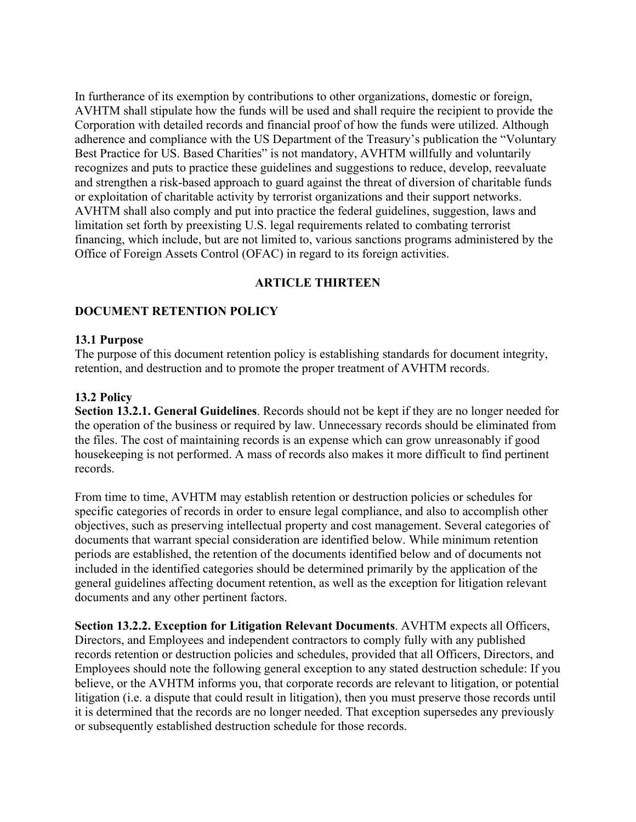In furtherance of its exemption by contributions to other organizations, domestic or foreign, AVHTM shall stipulate how the funds will be used and shall require the recipient to provide the Corporation with detailed records and financial proof of how the funds were utilized. Although adherence and compliance with the US Department of the Treasury's publication the "Voluntary Best Practice for US. Based Charities" is not mandatory, AVHTM willfully and voluntarily recognizes and puts to practice these guidelines and suggestions to reduce, develop, reevaluate and strengthen a risk-based approach to guard against the threat of diversion of charitable funds or exploitation of charitable activity by terrorist organizations and their support networks. AVHTM shall also comply and put into practice the federal guidelines, suggestion, laws and limitation set forth by preexisting U.S. legal requirements related to combating terrorist financing, which include, but are not limited to, various sanctions programs administered by the Office of Foreign Assets Control (OFAC) in regard to its foreign activities.

## **ARTICLE THIRTEEN**

## **DOCUMENT RETENTION POLICY**

### **13.1 Purpose**

The purpose of this document retention policy is establishing standards for document integrity, retention, and destruction and to promote the proper treatment of AVHTM records.

## **13.2 Policy**

**Section 13.2.1. General Guidelines**. Records should not be kept if they are no longer needed for the operation of the business or required by law. Unnecessary records should be eliminated from the files. The cost of maintaining records is an expense which can grow unreasonably if good housekeeping is not performed. A mass of records also makes it more difficult to find pertinent records.

From time to time, AVHTM may establish retention or destruction policies or schedules for specific categories of records in order to ensure legal compliance, and also to accomplish other objectives, such as preserving intellectual property and cost management. Several categories of documents that warrant special consideration are identified below. While minimum retention periods are established, the retention of the documents identified below and of documents not included in the identified categories should be determined primarily by the application of the general guidelines affecting document retention, as well as the exception for litigation relevant documents and any other pertinent factors.

**Section 13.2.2. Exception for Litigation Relevant Documents**. AVHTM expects all Officers, Directors, and Employees and independent contractors to comply fully with any published records retention or destruction policies and schedules, provided that all Officers, Directors, and Employees should note the following general exception to any stated destruction schedule: If you believe, or the AVHTM informs you, that corporate records are relevant to litigation, or potential litigation (i.e. a dispute that could result in litigation), then you must preserve those records until it is determined that the records are no longer needed. That exception supersedes any previously or subsequently established destruction schedule for those records.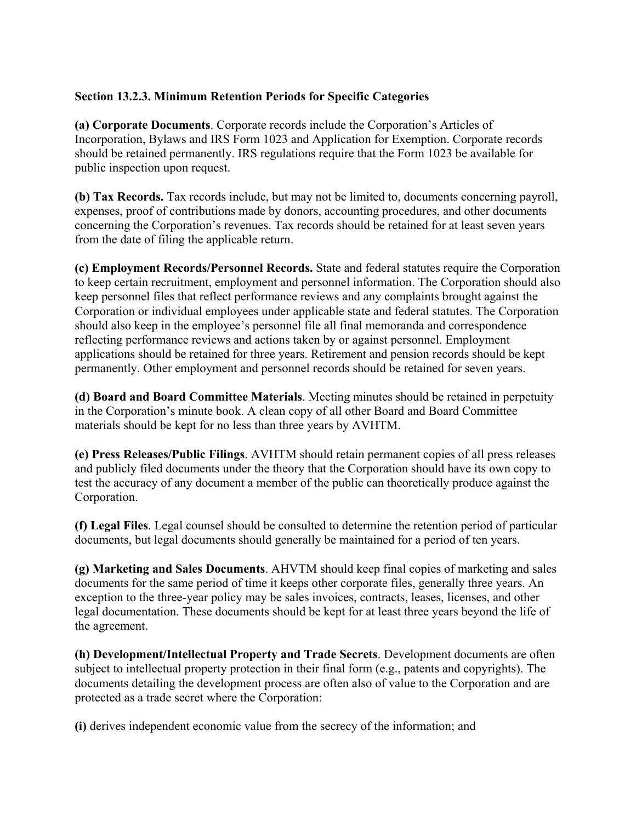## **Section 13.2.3. Minimum Retention Periods for Specific Categories**

**(a) Corporate Documents**. Corporate records include the Corporation's Articles of Incorporation, Bylaws and IRS Form 1023 and Application for Exemption. Corporate records should be retained permanently. IRS regulations require that the Form 1023 be available for public inspection upon request.

**(b) Tax Records.** Tax records include, but may not be limited to, documents concerning payroll, expenses, proof of contributions made by donors, accounting procedures, and other documents concerning the Corporation's revenues. Tax records should be retained for at least seven years from the date of filing the applicable return.

**(c) Employment Records/Personnel Records.** State and federal statutes require the Corporation to keep certain recruitment, employment and personnel information. The Corporation should also keep personnel files that reflect performance reviews and any complaints brought against the Corporation or individual employees under applicable state and federal statutes. The Corporation should also keep in the employee's personnel file all final memoranda and correspondence reflecting performance reviews and actions taken by or against personnel. Employment applications should be retained for three years. Retirement and pension records should be kept permanently. Other employment and personnel records should be retained for seven years.

**(d) Board and Board Committee Materials**. Meeting minutes should be retained in perpetuity in the Corporation's minute book. A clean copy of all other Board and Board Committee materials should be kept for no less than three years by AVHTM.

**(e) Press Releases/Public Filings**. AVHTM should retain permanent copies of all press releases and publicly filed documents under the theory that the Corporation should have its own copy to test the accuracy of any document a member of the public can theoretically produce against the Corporation.

**(f) Legal Files**. Legal counsel should be consulted to determine the retention period of particular documents, but legal documents should generally be maintained for a period of ten years.

**(g) Marketing and Sales Documents**. AHVTM should keep final copies of marketing and sales documents for the same period of time it keeps other corporate files, generally three years. An exception to the three-year policy may be sales invoices, contracts, leases, licenses, and other legal documentation. These documents should be kept for at least three years beyond the life of the agreement.

**(h) Development/Intellectual Property and Trade Secrets**. Development documents are often subject to intellectual property protection in their final form (e.g., patents and copyrights). The documents detailing the development process are often also of value to the Corporation and are protected as a trade secret where the Corporation:

**(i)** derives independent economic value from the secrecy of the information; and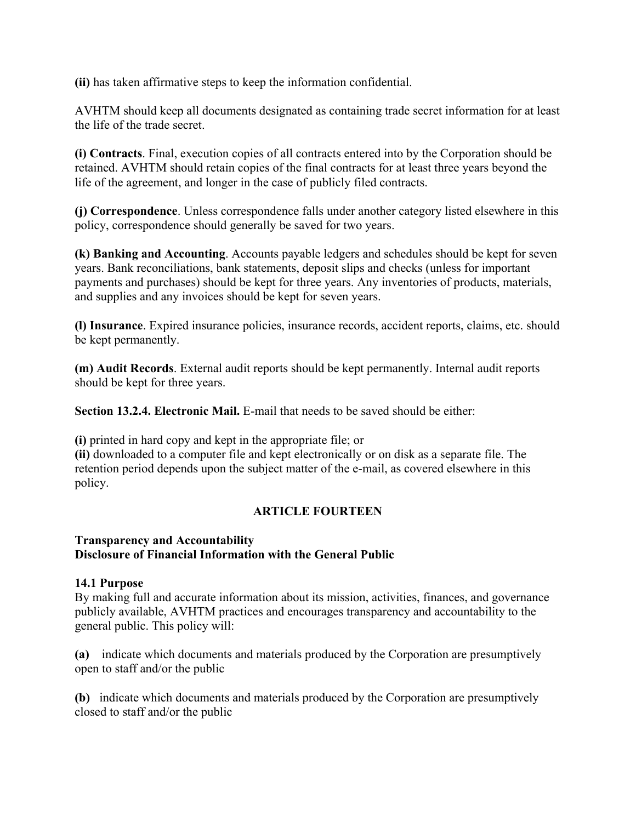**(ii)** has taken affirmative steps to keep the information confidential.

AVHTM should keep all documents designated as containing trade secret information for at least the life of the trade secret.

**(i) Contracts**. Final, execution copies of all contracts entered into by the Corporation should be retained. AVHTM should retain copies of the final contracts for at least three years beyond the life of the agreement, and longer in the case of publicly filed contracts.

**(j) Correspondence**. Unless correspondence falls under another category listed elsewhere in this policy, correspondence should generally be saved for two years.

**(k) Banking and Accounting**. Accounts payable ledgers and schedules should be kept for seven years. Bank reconciliations, bank statements, deposit slips and checks (unless for important payments and purchases) should be kept for three years. Any inventories of products, materials, and supplies and any invoices should be kept for seven years.

**(l) Insurance**. Expired insurance policies, insurance records, accident reports, claims, etc. should be kept permanently.

**(m) Audit Records**. External audit reports should be kept permanently. Internal audit reports should be kept for three years.

**Section 13.2.4. Electronic Mail.** E-mail that needs to be saved should be either:

**(i)** printed in hard copy and kept in the appropriate file; or

**(ii)** downloaded to a computer file and kept electronically or on disk as a separate file. The retention period depends upon the subject matter of the e-mail, as covered elsewhere in this policy.

# **ARTICLE FOURTEEN**

## **Transparency and Accountability Disclosure of Financial Information with the General Public**

## **14.1 Purpose**

By making full and accurate information about its mission, activities, finances, and governance publicly available, AVHTM practices and encourages transparency and accountability to the general public. This policy will:

**(a)** indicate which documents and materials produced by the Corporation are presumptively open to staff and/or the public

**(b)** indicate which documents and materials produced by the Corporation are presumptively closed to staff and/or the public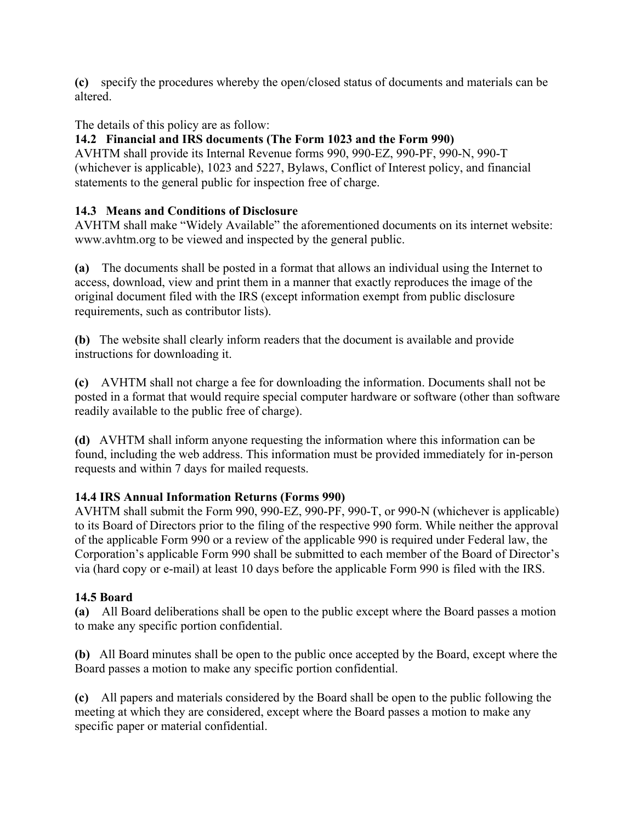**(c)** specify the procedures whereby the open/closed status of documents and materials can be altered.

The details of this policy are as follow:

# **14.2 Financial and IRS documents (The Form 1023 and the Form 990)**

AVHTM shall provide its Internal Revenue forms 990, 990-EZ, 990-PF, 990-N, 990-T (whichever is applicable), 1023 and 5227, Bylaws, Conflict of Interest policy, and financial statements to the general public for inspection free of charge.

# **14.3 Means and Conditions of Disclosure**

AVHTM shall make "Widely Available" the aforementioned documents on its internet website: www.avhtm.org to be viewed and inspected by the general public.

**(a)** The documents shall be posted in a format that allows an individual using the Internet to access, download, view and print them in a manner that exactly reproduces the image of the original document filed with the IRS (except information exempt from public disclosure requirements, such as contributor lists).

**(b)** The website shall clearly inform readers that the document is available and provide instructions for downloading it.

**(c)** AVHTM shall not charge a fee for downloading the information. Documents shall not be posted in a format that would require special computer hardware or software (other than software readily available to the public free of charge).

**(d)** AVHTM shall inform anyone requesting the information where this information can be found, including the web address. This information must be provided immediately for in-person requests and within 7 days for mailed requests.

# **14.4 IRS Annual Information Returns (Forms 990)**

AVHTM shall submit the Form 990, 990-EZ, 990-PF, 990-T, or 990-N (whichever is applicable) to its Board of Directors prior to the filing of the respective 990 form. While neither the approval of the applicable Form 990 or a review of the applicable 990 is required under Federal law, the Corporation's applicable Form 990 shall be submitted to each member of the Board of Director's via (hard copy or e-mail) at least 10 days before the applicable Form 990 is filed with the IRS.

# **14.5 Board**

**(a)** All Board deliberations shall be open to the public except where the Board passes a motion to make any specific portion confidential.

**(b)** All Board minutes shall be open to the public once accepted by the Board, except where the Board passes a motion to make any specific portion confidential.

**(c)** All papers and materials considered by the Board shall be open to the public following the meeting at which they are considered, except where the Board passes a motion to make any specific paper or material confidential.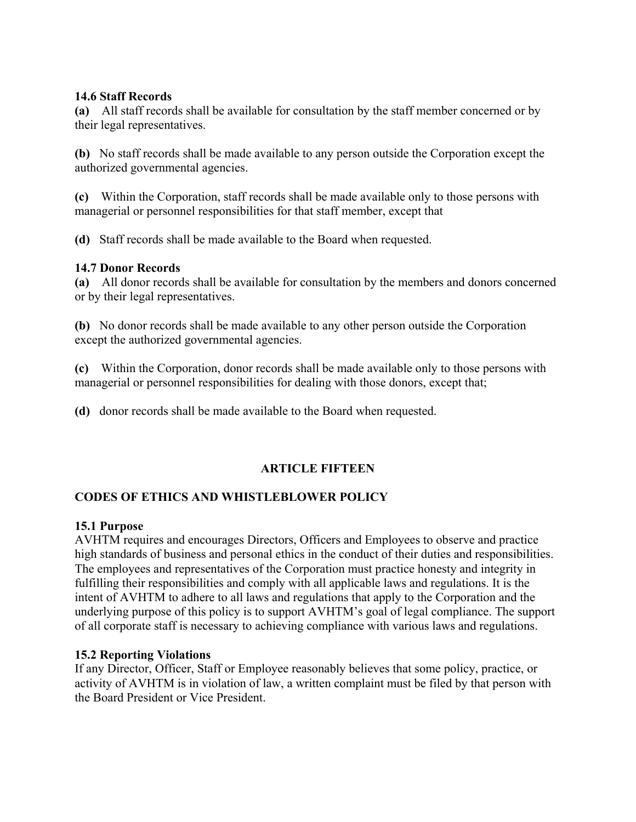### **14.6 Staff Records**

**(a)** All staff records shall be available for consultation by the staff member concerned or by their legal representatives.

**(b)** No staff records shall be made available to any person outside the Corporation except the authorized governmental agencies.

**(c)** Within the Corporation, staff records shall be made available only to those persons with managerial or personnel responsibilities for that staff member, except that

**(d)** Staff records shall be made available to the Board when requested.

### **14.7 Donor Records**

**(a)** All donor records shall be available for consultation by the members and donors concerned or by their legal representatives.

**(b)** No donor records shall be made available to any other person outside the Corporation except the authorized governmental agencies.

**(c)** Within the Corporation, donor records shall be made available only to those persons with managerial or personnel responsibilities for dealing with those donors, except that;

**(d)** donor records shall be made available to the Board when requested.

## **ARTICLE FIFTEEN**

## **CODES OF ETHICS AND WHISTLEBLOWER POLICY**

#### **15.1 Purpose**

AVHTM requires and encourages Directors, Officers and Employees to observe and practice high standards of business and personal ethics in the conduct of their duties and responsibilities. The employees and representatives of the Corporation must practice honesty and integrity in fulfilling their responsibilities and comply with all applicable laws and regulations. It is the intent of AVHTM to adhere to all laws and regulations that apply to the Corporation and the underlying purpose of this policy is to support AVHTM's goal of legal compliance. The support of all corporate staff is necessary to achieving compliance with various laws and regulations.

#### **15.2 Reporting Violations**

If any Director, Officer, Staff or Employee reasonably believes that some policy, practice, or activity of AVHTM is in violation of law, a written complaint must be filed by that person with the Board President or Vice President.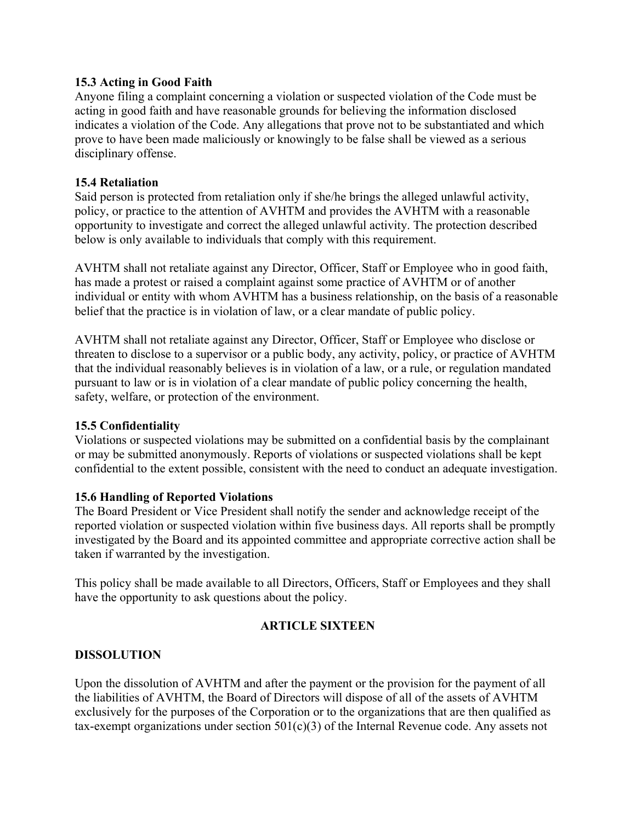### **15.3 Acting in Good Faith**

Anyone filing a complaint concerning a violation or suspected violation of the Code must be acting in good faith and have reasonable grounds for believing the information disclosed indicates a violation of the Code. Any allegations that prove not to be substantiated and which prove to have been made maliciously or knowingly to be false shall be viewed as a serious disciplinary offense.

### **15.4 Retaliation**

Said person is protected from retaliation only if she/he brings the alleged unlawful activity, policy, or practice to the attention of AVHTM and provides the AVHTM with a reasonable opportunity to investigate and correct the alleged unlawful activity. The protection described below is only available to individuals that comply with this requirement.

AVHTM shall not retaliate against any Director, Officer, Staff or Employee who in good faith, has made a protest or raised a complaint against some practice of AVHTM or of another individual or entity with whom AVHTM has a business relationship, on the basis of a reasonable belief that the practice is in violation of law, or a clear mandate of public policy.

AVHTM shall not retaliate against any Director, Officer, Staff or Employee who disclose or threaten to disclose to a supervisor or a public body, any activity, policy, or practice of AVHTM that the individual reasonably believes is in violation of a law, or a rule, or regulation mandated pursuant to law or is in violation of a clear mandate of public policy concerning the health, safety, welfare, or protection of the environment.

## **15.5 Confidentiality**

Violations or suspected violations may be submitted on a confidential basis by the complainant or may be submitted anonymously. Reports of violations or suspected violations shall be kept confidential to the extent possible, consistent with the need to conduct an adequate investigation.

## **15.6 Handling of Reported Violations**

The Board President or Vice President shall notify the sender and acknowledge receipt of the reported violation or suspected violation within five business days. All reports shall be promptly investigated by the Board and its appointed committee and appropriate corrective action shall be taken if warranted by the investigation.

This policy shall be made available to all Directors, Officers, Staff or Employees and they shall have the opportunity to ask questions about the policy.

## **ARTICLE SIXTEEN**

## **DISSOLUTION**

Upon the dissolution of AVHTM and after the payment or the provision for the payment of all the liabilities of AVHTM, the Board of Directors will dispose of all of the assets of AVHTM exclusively for the purposes of the Corporation or to the organizations that are then qualified as tax-exempt organizations under section 501(c)(3) of the Internal Revenue code. Any assets not